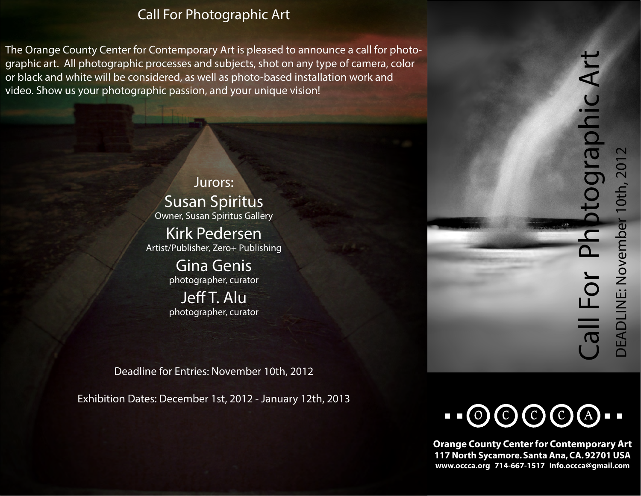# *Call For Photographic Art*

The Orange County Center for Contemporary Art is pleased to announce a call for photographic art. All photographic processes and subjects, shot on any type of camera, color or black and white will be considered, as well as photo-based installation work and video. Show us your photographic passion, and your unique vision!

> Jurors: Susan Spiritus Owner, Susan Spiritus Gallery

Kirk Pedersen Artist/Publisher, Zero+ Publishing

> Gina Genis photographer, curator

Jeff T. Alu photographer, curator

Deadline for Entries: November 10th, 2012

Exhibition Dates: December 1st, 2012 - January 12th, 2013

**Orange County Center for Contemporary Art 117 North Sycamore. Santa Ana, CA. 92701 USA www.occca.org 714-667-1517 Info.occca@gmail.com**